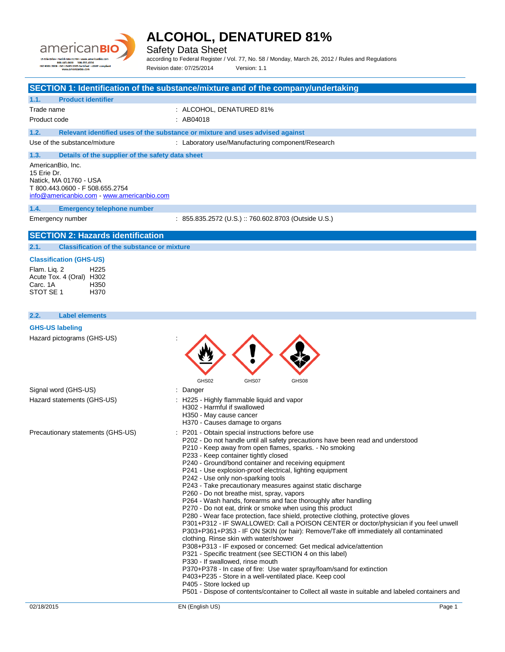

Safety Data Sheet

according to Federal Register / Vol. 77, No. 58 / Monday, March 26, 2012 / Rules and Regulations Revision date: 07/25/2014 Version: 1.1

## 02/18/2015 EN (English US) Page 1 **SECTION 1: Identification of the substance/mixture and of the company/undertaking 1.1. Product identifier** Trade name  $\qquad \qquad :$  ALCOHOL, DENATURED 81% Product code : AB04018 **1.2. Relevant identified uses of the substance or mixture and uses advised against** Use of the substance/mixture : Laboratory use/Manufacturing component/Research **1.3. Details of the supplier of the safety data sheet** AmericanBio, Inc. 15 Erie Dr. Natick, MA 01760 - USA T 800.443.0600 - F 508.655.2754 [info@americanbio.com](mailto:info@americanbio.com) - <www.americanbio.com> **1.4. Emergency telephone number** Emergency number : 855.835.2572 (U.S.) :: 760.602.8703 (Outside U.S.) **SECTION 2: Hazards identification 2.1. Classification of the substance or mixture Classification (GHS-US)** Flam. Liq. 2 H225 Acute Tox. 4 (Oral) H302 Carc. 1A STOT SE 1 H370 **2.2. Label elements GHS-US labeling** Hazard pictograms (GHS-US) : GHS02 GHS07 GHS08 Signal word (GHS-US) in the state of the Signal word (GHS-US) in the state of the Signal state of the Signal S Hazard statements (GHS-US) : H225 - Highly flammable liquid and vapor H302 - Harmful if swallowed H350 - May cause cancer H370 - Causes damage to organs Precautionary statements (GHS-US) : P201 - Obtain special instructions before use P202 - Do not handle until all safety precautions have been read and understood P210 - Keep away from open flames, sparks. - No smoking P233 - Keep container tightly closed P240 - Ground/bond container and receiving equipment P241 - Use explosion-proof electrical, lighting equipment P242 - Use only non-sparking tools P243 - Take precautionary measures against static discharge P260 - Do not breathe mist, spray, vapors P264 - Wash hands, forearms and face thoroughly after handling P270 - Do not eat, drink or smoke when using this product P280 - Wear face protection, face shield, protective clothing, protective gloves P301+P312 - IF SWALLOWED: Call a POISON CENTER or doctor/physician if you feel unwell P303+P361+P353 - IF ON SKIN (or hair): Remove/Take off immediately all contaminated clothing. Rinse skin with water/shower P308+P313 - IF exposed or concerned: Get medical advice/attention P321 - Specific treatment (see SECTION 4 on this label) P330 - If swallowed, rinse mouth P370+P378 - In case of fire: Use water spray/foam/sand for extinction P403+P235 - Store in a well-ventilated place. Keep cool P405 - Store locked up P501 - Dispose of contents/container to Collect all waste in suitable and labeled containers and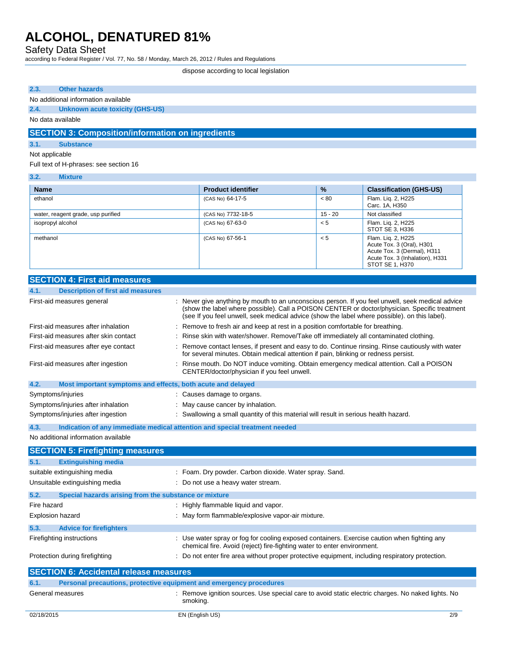Safety Data Sheet

according to Federal Register / Vol. 77, No. 58 / Monday, March 26, 2012 / Rules and Regulations

dispose according to local legislation

#### **2.3. Other hazards**

### No additional information available

## **2.4. Unknown acute toxicity (GHS-US)**

No data available

## **SECTION 3: Composition/information on ingredients**

### **3.1. Substance**

#### Not applicable

Full text of H-phrases: see section 16

#### **3.2. Mixture**

| <b>Name</b>                        | <b>Product identifier</b> | $\frac{9}{6}$ | <b>Classification (GHS-US)</b>                                                                                                       |
|------------------------------------|---------------------------|---------------|--------------------------------------------------------------------------------------------------------------------------------------|
| ethanol                            | (CAS No) 64-17-5          | < 80          | Flam. Lig. 2, H225<br>Carc. 1A, H350                                                                                                 |
| water, reagent grade, usp purified | (CAS No) 7732-18-5        | 15 - 20       | Not classified                                                                                                                       |
| isopropyl alcohol                  | (CAS No) 67-63-0          | < 5           | Flam. Lig. 2, H225<br>STOT SE 3, H336                                                                                                |
| methanol                           | (CAS No) 67-56-1          | < 5           | Flam. Lig. 2, H225<br>Acute Tox. 3 (Oral), H301<br>Acute Tox. 3 (Dermal), H311<br>Acute Tox. 3 (Inhalation), H331<br>STOT SE 1, H370 |

### **SECTION 4: First aid measures**

| <b>Description of first aid measures</b><br>4.1.                    |                                                                                                                                                                                                                                                                                                    |  |
|---------------------------------------------------------------------|----------------------------------------------------------------------------------------------------------------------------------------------------------------------------------------------------------------------------------------------------------------------------------------------------|--|
| First-aid measures general                                          | : Never give anything by mouth to an unconscious person. If you feel unwell, seek medical advice<br>(show the label where possible). Call a POISON CENTER or doctor/physician. Specific treatment<br>(see If you feel unwell, seek medical advice (show the label where possible), on this label). |  |
| First-aid measures after inhalation                                 | : Remove to fresh air and keep at rest in a position comfortable for breathing.                                                                                                                                                                                                                    |  |
| First-aid measures after skin contact                               | : Rinse skin with water/shower. Remove/Take off immediately all contaminated clothing.                                                                                                                                                                                                             |  |
| First-aid measures after eye contact                                | : Remove contact lenses, if present and easy to do. Continue rinsing. Rinse cautiously with water<br>for several minutes. Obtain medical attention if pain, blinking or redness persist.                                                                                                           |  |
| First-aid measures after ingestion                                  | : Rinse mouth. Do NOT induce vomiting. Obtain emergency medical attention. Call a POISON<br>CENTER/doctor/physician if you feel unwell.                                                                                                                                                            |  |
| 4.2.<br>Most important symptoms and effects, both acute and delayed |                                                                                                                                                                                                                                                                                                    |  |
| Symptoms/injuries                                                   | : Causes damage to organs.                                                                                                                                                                                                                                                                         |  |
| Symptoms/injuries after inhalation                                  | : May cause cancer by inhalation.                                                                                                                                                                                                                                                                  |  |
| Symptoms/injuries after ingestion                                   | : Swallowing a small quantity of this material will result in serious health hazard.                                                                                                                                                                                                               |  |
| 4.3.                                                                | Indication of any immediate medical attention and special treatment needed                                                                                                                                                                                                                         |  |
| No additional information available                                 |                                                                                                                                                                                                                                                                                                    |  |
| <b>CECTION E: Eirofiabting moneures</b>                             |                                                                                                                                                                                                                                                                                                    |  |

**SECTION 5: Firefighting measures 5.1. Extinguishing media** suitable extinguishing media : Foam. Dry powder. Carbon dioxide. Water spray. Sand. Unsuitable extinguishing media : Do not use a heavy water stream. **5.2. Special hazards arising from the substance or mixture** Fire hazard **in the summable in the set of the S** Highly flammable liquid and vapor. Explosion hazard **in the state of the state of the state of the state of the state of the state of the state of the state of the state of the state of the state of the state of the state of the state of the state of the st 5.3. Advice for firefighters** Firefighting instructions : Use water spray or fog for cooling exposed containers. Exercise caution when fighting any chemical fire. Avoid (reject) fire-fighting water to enter environment. Protection during firefighting  $\qquad \qquad \qquad$ : Do not enter fire area without proper protective equipment, including respiratory protection. **SECTION 6: Accidental release measures 6.1. Personal precautions, protective equipment and emergency procedures** General measures **interpretatal measures** : Remove ignition sources. Use special care to avoid static electric charges. No naked lights. No smoking.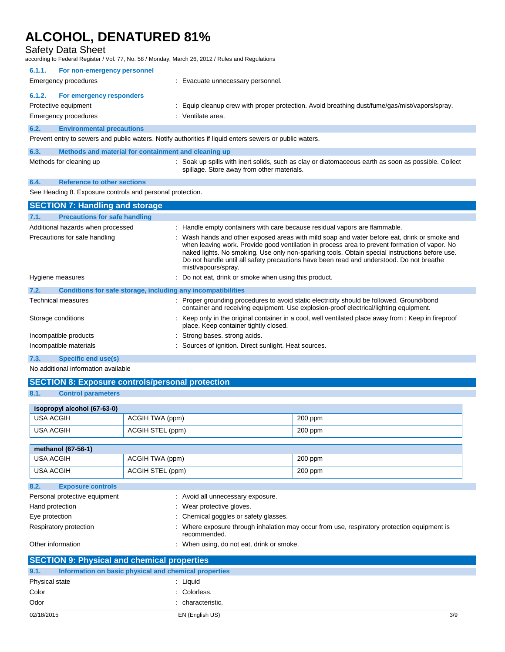Safety Data Sheet

according to Federal Register / Vol. 77, No. 58 / Monday, March 26, 2012 / Rules and Regulations

| 6.1.1.                                                                                                  | For non-emergency personnel                          |                                                                                                                                                   |
|---------------------------------------------------------------------------------------------------------|------------------------------------------------------|---------------------------------------------------------------------------------------------------------------------------------------------------|
| Emergency procedures                                                                                    |                                                      | : Evacuate unnecessary personnel.                                                                                                                 |
| 6.1.2.                                                                                                  | For emergency responders                             |                                                                                                                                                   |
| Protective equipment                                                                                    |                                                      | : Equip cleanup crew with proper protection. Avoid breathing dust/fume/gas/mist/vapors/spray.                                                     |
| Emergency procedures                                                                                    |                                                      | : Ventilate area.                                                                                                                                 |
| 6.2.                                                                                                    | <b>Environmental precautions</b>                     |                                                                                                                                                   |
| Prevent entry to sewers and public waters. Notify authorities if liquid enters sewers or public waters. |                                                      |                                                                                                                                                   |
| 6.3.                                                                                                    | Methods and material for containment and cleaning up |                                                                                                                                                   |
| Methods for cleaning up                                                                                 |                                                      | : Soak up spills with inert solids, such as clay or diatomaceous earth as soon as possible. Collect<br>spillage. Store away from other materials. |
|                                                                                                         |                                                      |                                                                                                                                                   |

## **6.4. Reference to other sections**

See Heading 8. Exposure controls and personal protection.

| <b>SECTION 7: Handling and storage</b>                               |                                                                                                                                                                                                                                                                                                                                                                                                                    |
|----------------------------------------------------------------------|--------------------------------------------------------------------------------------------------------------------------------------------------------------------------------------------------------------------------------------------------------------------------------------------------------------------------------------------------------------------------------------------------------------------|
| 7.1.<br><b>Precautions for safe handling</b>                         |                                                                                                                                                                                                                                                                                                                                                                                                                    |
| Additional hazards when processed                                    | : Handle empty containers with care because residual vapors are flammable.                                                                                                                                                                                                                                                                                                                                         |
| Precautions for safe handling                                        | : Wash hands and other exposed areas with mild soap and water before eat, drink or smoke and<br>when leaving work. Provide good ventilation in process area to prevent formation of vapor. No<br>naked lights. No smoking. Use only non-sparking tools. Obtain special instructions before use.<br>Do not handle until all safety precautions have been read and understood. Do not breathe<br>mist/vapours/spray. |
| Hygiene measures                                                     | : Do not eat, drink or smoke when using this product.                                                                                                                                                                                                                                                                                                                                                              |
| 7.2.<br>Conditions for safe storage, including any incompatibilities |                                                                                                                                                                                                                                                                                                                                                                                                                    |
| Technical measures                                                   | : Proper grounding procedures to avoid static electricity should be followed. Ground/bond<br>container and receiving equipment. Use explosion-proof electrical/lighting equipment.                                                                                                                                                                                                                                 |
| Storage conditions                                                   | : Keep only in the original container in a cool, well ventilated place away from : Keep in fireproof<br>place. Keep container tightly closed.                                                                                                                                                                                                                                                                      |
| Incompatible products                                                | : Strong bases, strong acids.                                                                                                                                                                                                                                                                                                                                                                                      |
| Incompatible materials                                               | : Sources of ignition. Direct sunlight. Heat sources.                                                                                                                                                                                                                                                                                                                                                              |

### **7.3. Specific end use(s)**

No additional information available

## **SECTION 8: Exposure controls/personal protection**

## **8.1. Control parameters**

| isopropyl alcohol $(67-63-0)$ |                  |           |
|-------------------------------|------------------|-----------|
| USA ACGIH                     | ACGIH TWA (ppm)  | $200$ ppm |
| USA ACGIH                     | ACGIH STEL (ppm) | $200$ ppm |

| methanol (67-56-1) |                  |         |
|--------------------|------------------|---------|
| USA ACGIH          | ACGIH TWA (ppm)  | 200 ppm |
| USA ACGIH          | ACGIH STEL (ppm) | 200 ppm |

| 8.2.           | <b>Exposure controls</b>                                                                                                                                                                                                                                                                                                                                                             |                                                                                                             |
|----------------|--------------------------------------------------------------------------------------------------------------------------------------------------------------------------------------------------------------------------------------------------------------------------------------------------------------------------------------------------------------------------------------|-------------------------------------------------------------------------------------------------------------|
|                | Personal protective equipment                                                                                                                                                                                                                                                                                                                                                        | : Avoid all unnecessary exposure.                                                                           |
|                | Hand protection                                                                                                                                                                                                                                                                                                                                                                      | : Wear protective gloves.                                                                                   |
| Eye protection |                                                                                                                                                                                                                                                                                                                                                                                      | : Chemical goggles or safety glasses.                                                                       |
|                | Respiratory protection                                                                                                                                                                                                                                                                                                                                                               | : Where exposure through inhalation may occur from use, respiratory protection equipment is<br>recommended. |
|                | Other information                                                                                                                                                                                                                                                                                                                                                                    | : When using, do not eat, drink or smoke.                                                                   |
|                | $\overline{O}$ $\overline{O}$ $\overline{O}$ $\overline{O}$ $\overline{O}$ $\overline{O}$ $\overline{O}$ $\overline{O}$ $\overline{O}$ $\overline{O}$ $\overline{O}$ $\overline{O}$ $\overline{O}$ $\overline{O}$ $\overline{O}$ $\overline{O}$ $\overline{O}$ $\overline{O}$ $\overline{O}$ $\overline{O}$ $\overline{O}$ $\overline{O}$ $\overline{O}$ $\overline{O}$ $\overline{$ |                                                                                                             |

| <b>SECTION 9: Physical and chemical properties</b> |                                                       |     |
|----------------------------------------------------|-------------------------------------------------------|-----|
| 9.1.                                               | Information on basic physical and chemical properties |     |
| Physical state                                     | : Liauid                                              |     |
| Color                                              | : Colorless.                                          |     |
| Odor                                               | : characteristic.                                     |     |
| 02/18/2015                                         | EN (English US)                                       | 3/9 |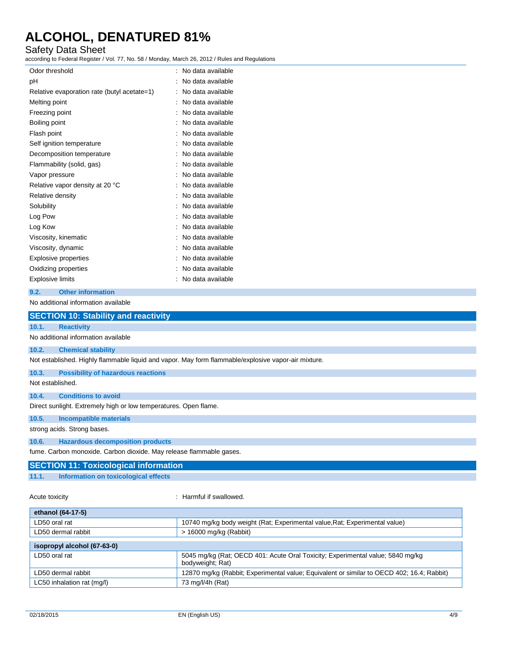## Safety Data Sheet

according to Federal Register / Vol. 77, No. 58 / Monday, March 26, 2012 / Rules and Regulations

| Odor threshold                              | No data available |
|---------------------------------------------|-------------------|
| рH                                          | No data available |
| Relative evaporation rate (butyl acetate=1) | No data available |
| Melting point                               | No data available |
| Freezing point                              | No data available |
| Boiling point                               | No data available |
| Flash point                                 | No data available |
| Self ignition temperature                   | No data available |
| Decomposition temperature                   | No data available |
| Flammability (solid, gas)                   | No data available |
| Vapor pressure                              | No data available |
| Relative vapor density at 20 °C             | No data available |
| Relative density                            | No data available |
| Solubility                                  | No data available |
| Log Pow                                     | No data available |
| Log Kow                                     | No data available |
| Viscosity, kinematic                        | No data available |
| Viscosity, dynamic                          | No data available |
| <b>Explosive properties</b>                 | No data available |
| Oxidizing properties                        | No data available |
| Explosive limits                            | No data available |
|                                             |                   |

**9.2. Other information**

No additional information available

|                  | <b>SECTION 10: Stability and reactivity</b>                                                         |
|------------------|-----------------------------------------------------------------------------------------------------|
| 10.1.            | <b>Reactivity</b>                                                                                   |
|                  | No additional information available                                                                 |
| 10.2.            | <b>Chemical stability</b>                                                                           |
|                  | Not established. Highly flammable liquid and vapor. May form flammable/explosive vapor-air mixture. |
| 10.3.            | <b>Possibility of hazardous reactions</b>                                                           |
| Not established. |                                                                                                     |
| 10.4.            | <b>Conditions to avoid</b>                                                                          |
|                  | Direct sunlight. Extremely high or low temperatures. Open flame.                                    |
| 10.5.            | <b>Incompatible materials</b>                                                                       |
|                  | strong acids. Strong bases.                                                                         |
| 10.6.            | <b>Hazardous decomposition products</b>                                                             |
|                  | fume. Carbon monoxide. Carbon dioxide. May release flammable gases.                                 |
|                  | <b>SECTION 11: Toxicological information</b>                                                        |
| 11.1.            | Information on toxicological effects                                                                |

Acute toxicity **in the case of the case of the case of the case of the case of the case of the case of the case of the case of the case of the case of the case of the case of the case of the case of the case of the case of** 

| ethanol (64-17-5)           |                                                                                                    |  |
|-----------------------------|----------------------------------------------------------------------------------------------------|--|
| LD50 oral rat               | 10740 mg/kg body weight (Rat; Experimental value, Rat; Experimental value)                         |  |
| LD50 dermal rabbit          | $>$ 16000 mg/kg (Rabbit)                                                                           |  |
|                             |                                                                                                    |  |
| isopropyl alcohol (67-63-0) |                                                                                                    |  |
| LD50 oral rat               | 5045 mg/kg (Rat; OECD 401: Acute Oral Toxicity; Experimental value; 5840 mg/kg<br>bodyweight; Rat) |  |
| LD50 dermal rabbit          | 12870 mg/kg (Rabbit; Experimental value; Equivalent or similar to OECD 402; 16.4; Rabbit)          |  |
| LC50 inhalation rat (mg/l)  | 73 mg/l/4h (Rat)                                                                                   |  |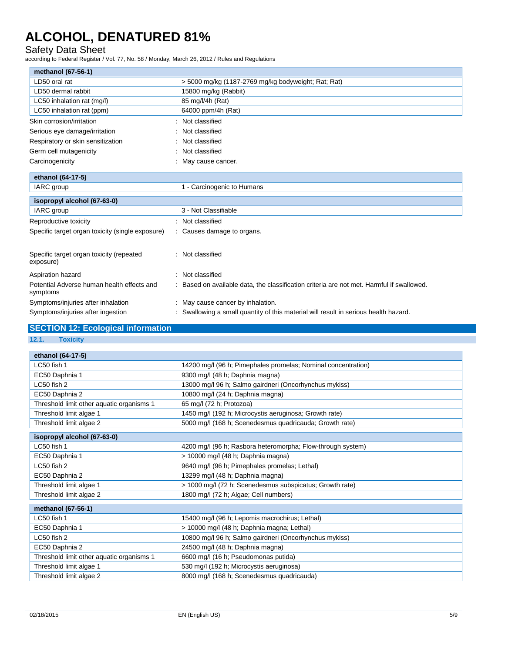## Safety Data Sheet

according to Federal Register / Vol. 77, No. 58 / Monday, March 26, 2012 / Rules and Regulations

| methanol (67-56-1)                |                                                     |
|-----------------------------------|-----------------------------------------------------|
| LD50 oral rat                     | > 5000 mg/kg (1187-2769 mg/kg bodyweight; Rat; Rat) |
| LD50 dermal rabbit                | 15800 mg/kg (Rabbit)                                |
| LC50 inhalation rat (mg/l)        | 85 mg/l/4h (Rat)                                    |
| LC50 inhalation rat (ppm)         | 64000 ppm/4h (Rat)                                  |
| Skin corrosion/irritation         | : Not classified                                    |
| Serious eye damage/irritation     | : Not classified                                    |
| Respiratory or skin sensitization | : Not classified                                    |
| Germ cell mutagenicity            | : Not classified                                    |
| Carcinogenicity                   | : May cause cancer.                                 |
| ethanol (64-17-5)                 |                                                     |
| IARC group                        | - Carcinogenic to Humans                            |

| isopropyl alcohol (67-63-0)                            |                                                                                         |
|--------------------------------------------------------|-----------------------------------------------------------------------------------------|
| IARC group                                             | 3 - Not Classifiable                                                                    |
| Reproductive toxicity                                  | Not classified                                                                          |
| Specific target organ toxicity (single exposure)       | : Causes damage to organs.                                                              |
| Specific target organ toxicity (repeated<br>exposure)  | Not classified                                                                          |
| Aspiration hazard                                      | Not classified                                                                          |
| Potential Adverse human health effects and<br>symptoms | Based on available data, the classification criteria are not met. Harmful if swallowed. |
| Symptoms/injuries after inhalation                     | : May cause cancer by inhalation.                                                       |
| Symptoms/injuries after ingestion                      | Swallowing a small quantity of this material will result in serious health hazard.      |

# **SECTION 12: Ecological information**

**12.1. Toxicity**

| ethanol (64-17-5)                         |                                                               |
|-------------------------------------------|---------------------------------------------------------------|
| LC50 fish 1                               | 14200 mg/l (96 h; Pimephales promelas; Nominal concentration) |
| EC50 Daphnia 1                            | 9300 mg/l (48 h; Daphnia magna)                               |
| LC50 fish 2                               | 13000 mg/l 96 h; Salmo gairdneri (Oncorhynchus mykiss)        |
| EC50 Daphnia 2                            | 10800 mg/l (24 h; Daphnia magna)                              |
| Threshold limit other aquatic organisms 1 | 65 mg/l (72 h; Protozoa)                                      |
| Threshold limit algae 1                   | 1450 mg/l (192 h; Microcystis aeruginosa; Growth rate)        |
| Threshold limit algae 2                   | 5000 mg/l (168 h; Scenedesmus quadricauda; Growth rate)       |
| isopropyl alcohol (67-63-0)               |                                                               |
| LC50 fish 1                               | 4200 mg/l (96 h; Rasbora heteromorpha; Flow-through system)   |
| EC50 Daphnia 1                            | > 10000 mg/l (48 h; Daphnia magna)                            |
| LC50 fish 2                               | 9640 mg/l (96 h; Pimephales promelas; Lethal)                 |
| EC50 Daphnia 2                            | 13299 mg/l (48 h; Daphnia magna)                              |
| Threshold limit algae 1                   | > 1000 mg/l (72 h; Scenedesmus subspicatus; Growth rate)      |
| Threshold limit algae 2                   | 1800 mg/l (72 h; Algae; Cell numbers)                         |
| methanol (67-56-1)                        |                                                               |
| LC50 fish 1                               | 15400 mg/l (96 h; Lepomis macrochirus; Lethal)                |
| EC50 Daphnia 1                            | > 10000 mg/l (48 h; Daphnia magna; Lethal)                    |
| LC50 fish 2                               | 10800 mg/l 96 h; Salmo gairdneri (Oncorhynchus mykiss)        |
| EC50 Daphnia 2                            | 24500 mg/l (48 h; Daphnia magna)                              |
| Threshold limit other aquatic organisms 1 | 6600 mg/l (16 h; Pseudomonas putida)                          |
| Threshold limit algae 1                   | 530 mg/l (192 h; Microcystis aeruginosa)                      |
| Threshold limit algae 2                   | 8000 mg/l (168 h; Scenedesmus quadricauda)                    |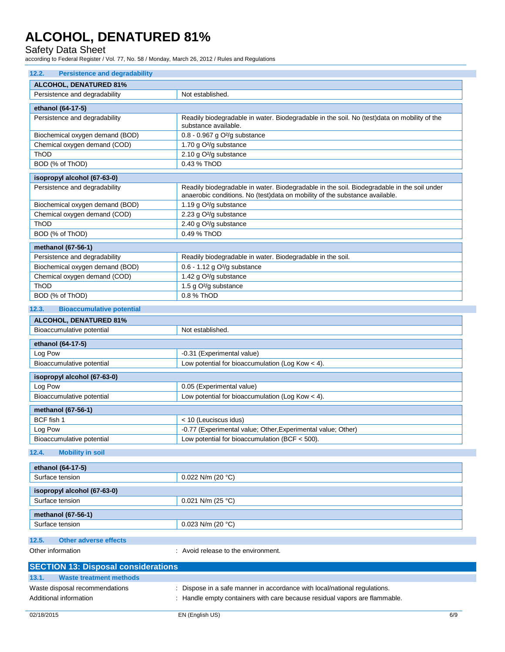Safety Data Sheet

according to Federal Register / Vol. 77, No. 58 / Monday, March 26, 2012 / Rules and Regulations

| 12.2.<br><b>Persistence and degradability</b> |                                                                                                                                                                           |  |
|-----------------------------------------------|---------------------------------------------------------------------------------------------------------------------------------------------------------------------------|--|
| <b>ALCOHOL, DENATURED 81%</b>                 |                                                                                                                                                                           |  |
| Persistence and degradability                 | Not established.                                                                                                                                                          |  |
| ethanol (64-17-5)                             |                                                                                                                                                                           |  |
| Persistence and degradability                 | Readily biodegradable in water. Biodegradable in the soil. No (test) data on mobility of the<br>substance available.                                                      |  |
| Biochemical oxygen demand (BOD)               | 0.8 - 0.967 g O <sup>2</sup> /g substance                                                                                                                                 |  |
| Chemical oxygen demand (COD)                  | 1.70 g O <sup>2</sup> /g substance                                                                                                                                        |  |
| ThOD                                          | 2.10 g O <sup>2</sup> /g substance                                                                                                                                        |  |
| BOD (% of ThOD)                               | 0.43 % ThOD                                                                                                                                                               |  |
| isopropyl alcohol (67-63-0)                   |                                                                                                                                                                           |  |
| Persistence and degradability                 | Readily biodegradable in water. Biodegradable in the soil. Biodegradable in the soil under<br>anaerobic conditions. No (test)data on mobility of the substance available. |  |
| Biochemical oxygen demand (BOD)               | 1.19 g O <sup>2</sup> /g substance                                                                                                                                        |  |
| Chemical oxygen demand (COD)                  | 2.23 g O <sup>2</sup> /g substance                                                                                                                                        |  |
| <b>ThOD</b>                                   | 2.40 g O <sup>2</sup> /g substance                                                                                                                                        |  |
| BOD (% of ThOD)                               | 0.49 % ThOD                                                                                                                                                               |  |
| methanol (67-56-1)                            |                                                                                                                                                                           |  |
| Persistence and degradability                 | Readily biodegradable in water. Biodegradable in the soil.                                                                                                                |  |
| Biochemical oxygen demand (BOD)               | 0.6 - 1.12 g O <sup>2</sup> /g substance                                                                                                                                  |  |
| Chemical oxygen demand (COD)                  | 1.42 g O <sup>2</sup> /g substance                                                                                                                                        |  |
| ThOD                                          | 1.5 g O <sup>2</sup> /g substance                                                                                                                                         |  |
| BOD (% of ThOD)                               | 0.8 % ThOD                                                                                                                                                                |  |
| 12.3.<br><b>Bioaccumulative potential</b>     |                                                                                                                                                                           |  |
| <b>ALCOHOL, DENATURED 81%</b>                 |                                                                                                                                                                           |  |
| Bioaccumulative potential                     | Not established.                                                                                                                                                          |  |
| ethanol (64-17-5)                             |                                                                                                                                                                           |  |
| Log Pow                                       | -0.31 (Experimental value)                                                                                                                                                |  |
| Bioaccumulative potential                     | Low potential for bioaccumulation (Log Kow $<$ 4).                                                                                                                        |  |
| isopropyl alcohol (67-63-0)                   |                                                                                                                                                                           |  |
| Log Pow                                       | 0.05 (Experimental value)                                                                                                                                                 |  |
| Bioaccumulative potential                     | Low potential for bioaccumulation (Log Kow < 4).                                                                                                                          |  |
|                                               |                                                                                                                                                                           |  |
| methanol (67-56-1)                            |                                                                                                                                                                           |  |
| BCF fish 1                                    | < 10 (Leuciscus idus)<br>-0.77 (Experimental value; Other, Experimental value; Other)                                                                                     |  |
| Log Pow<br>Bioaccumulative potential          | Low potential for bioaccumulation (BCF < 500).                                                                                                                            |  |
|                                               |                                                                                                                                                                           |  |
| <b>Mobility in soil</b><br>12.4.              |                                                                                                                                                                           |  |
| ethanol (64-17-5)                             |                                                                                                                                                                           |  |
| Surface tension                               | 0.022 N/m (20 °C)                                                                                                                                                         |  |
| isopropyl alcohol (67-63-0)                   |                                                                                                                                                                           |  |
| Surface tension                               | 0.021 N/m (25 $^{\circ}$ C)                                                                                                                                               |  |
|                                               |                                                                                                                                                                           |  |
| methanol (67-56-1)                            |                                                                                                                                                                           |  |
| Surface tension                               | 0.023 N/m (20 $°C$ )                                                                                                                                                      |  |
| 12.5.<br><b>Other adverse effects</b>         |                                                                                                                                                                           |  |
| Other information                             | : Avoid release to the environment.                                                                                                                                       |  |
|                                               |                                                                                                                                                                           |  |
| <b>SECTION 13: Disposal considerations</b>    |                                                                                                                                                                           |  |
| 13.1.<br><b>Waste treatment methods</b>       |                                                                                                                                                                           |  |
| Waste disposal recommendations                | : Dispose in a safe manner in accordance with local/national regulations.                                                                                                 |  |
| Additional information                        | : Handle empty containers with care because residual vapors are flammable.                                                                                                |  |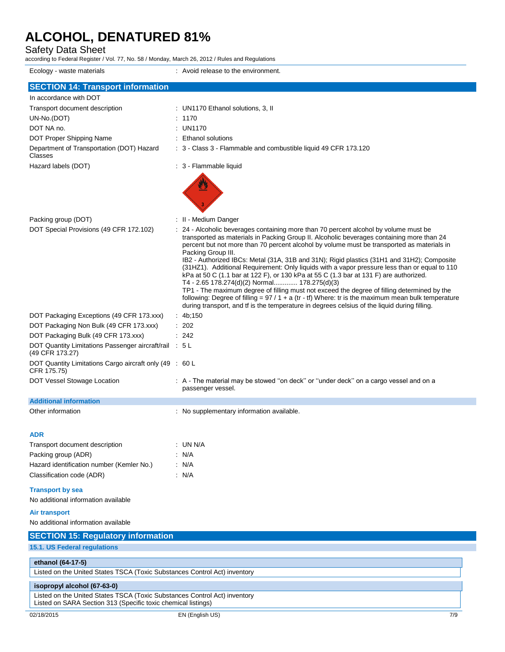Safety Data Sheet

according to Federal Register / Vol. 77, No. 58 / Monday, March 26, 2012 / Rules and Regulations

| Ecology - waste materials                                                                                                                  | : Avoid release to the environment.                                                                                                                                                                                                                                                                                                                                                                                                                                                                                                                                                                                                                                                                                                                                                                                                                                                                                                                |  |
|--------------------------------------------------------------------------------------------------------------------------------------------|----------------------------------------------------------------------------------------------------------------------------------------------------------------------------------------------------------------------------------------------------------------------------------------------------------------------------------------------------------------------------------------------------------------------------------------------------------------------------------------------------------------------------------------------------------------------------------------------------------------------------------------------------------------------------------------------------------------------------------------------------------------------------------------------------------------------------------------------------------------------------------------------------------------------------------------------------|--|
| <b>SECTION 14: Transport information</b>                                                                                                   |                                                                                                                                                                                                                                                                                                                                                                                                                                                                                                                                                                                                                                                                                                                                                                                                                                                                                                                                                    |  |
| In accordance with DOT                                                                                                                     |                                                                                                                                                                                                                                                                                                                                                                                                                                                                                                                                                                                                                                                                                                                                                                                                                                                                                                                                                    |  |
| Transport document description                                                                                                             | : UN1170 Ethanol solutions, 3, II                                                                                                                                                                                                                                                                                                                                                                                                                                                                                                                                                                                                                                                                                                                                                                                                                                                                                                                  |  |
| UN-No.(DOT)                                                                                                                                | : 1170                                                                                                                                                                                                                                                                                                                                                                                                                                                                                                                                                                                                                                                                                                                                                                                                                                                                                                                                             |  |
| DOT NA no.                                                                                                                                 | : UN1170                                                                                                                                                                                                                                                                                                                                                                                                                                                                                                                                                                                                                                                                                                                                                                                                                                                                                                                                           |  |
| DOT Proper Shipping Name                                                                                                                   | : Ethanol solutions                                                                                                                                                                                                                                                                                                                                                                                                                                                                                                                                                                                                                                                                                                                                                                                                                                                                                                                                |  |
| Department of Transportation (DOT) Hazard<br>Classes                                                                                       | : 3 - Class 3 - Flammable and combustible liquid 49 CFR 173.120                                                                                                                                                                                                                                                                                                                                                                                                                                                                                                                                                                                                                                                                                                                                                                                                                                                                                    |  |
| Hazard labels (DOT)                                                                                                                        | : 3 - Flammable liquid                                                                                                                                                                                                                                                                                                                                                                                                                                                                                                                                                                                                                                                                                                                                                                                                                                                                                                                             |  |
|                                                                                                                                            |                                                                                                                                                                                                                                                                                                                                                                                                                                                                                                                                                                                                                                                                                                                                                                                                                                                                                                                                                    |  |
| Packing group (DOT)                                                                                                                        | : II - Medium Danger                                                                                                                                                                                                                                                                                                                                                                                                                                                                                                                                                                                                                                                                                                                                                                                                                                                                                                                               |  |
| DOT Special Provisions (49 CFR 172.102)                                                                                                    | : 24 - Alcoholic beverages containing more than 70 percent alcohol by volume must be<br>transported as materials in Packing Group II. Alcoholic beverages containing more than 24<br>percent but not more than 70 percent alcohol by volume must be transported as materials in<br>Packing Group III.<br>IB2 - Authorized IBCs: Metal (31A, 31B and 31N); Rigid plastics (31H1 and 31H2); Composite<br>(31HZ1). Additional Requirement: Only liquids with a vapor pressure less than or equal to 110<br>kPa at 50 C (1.1 bar at 122 F), or 130 kPa at 55 C (1.3 bar at 131 F) are authorized.<br>T4 - 2.65 178.274(d)(2) Normal 178.275(d)(3)<br>TP1 - The maximum degree of filling must not exceed the degree of filling determined by the<br>following: Degree of filling = $97/1 + a$ (tr - tf) Where: tr is the maximum mean bulk temperature<br>during transport, and if is the temperature in degrees celsius of the liquid during filling. |  |
| DOT Packaging Exceptions (49 CFR 173.xxx)                                                                                                  | : $4b,150$                                                                                                                                                                                                                                                                                                                                                                                                                                                                                                                                                                                                                                                                                                                                                                                                                                                                                                                                         |  |
| DOT Packaging Non Bulk (49 CFR 173.xxx)                                                                                                    | : 202                                                                                                                                                                                                                                                                                                                                                                                                                                                                                                                                                                                                                                                                                                                                                                                                                                                                                                                                              |  |
| DOT Packaging Bulk (49 CFR 173.xxx)                                                                                                        | : 242                                                                                                                                                                                                                                                                                                                                                                                                                                                                                                                                                                                                                                                                                                                                                                                                                                                                                                                                              |  |
| DOT Quantity Limitations Passenger aircraft/rail : 5 L<br>(49 CFR 173.27)                                                                  |                                                                                                                                                                                                                                                                                                                                                                                                                                                                                                                                                                                                                                                                                                                                                                                                                                                                                                                                                    |  |
| DOT Quantity Limitations Cargo aircraft only (49 : 60 L<br>CFR 175.75)                                                                     |                                                                                                                                                                                                                                                                                                                                                                                                                                                                                                                                                                                                                                                                                                                                                                                                                                                                                                                                                    |  |
| DOT Vessel Stowage Location                                                                                                                | : A - The material may be stowed "on deck" or "under deck" on a cargo vessel and on a<br>passenger vessel.                                                                                                                                                                                                                                                                                                                                                                                                                                                                                                                                                                                                                                                                                                                                                                                                                                         |  |
| <b>Additional information</b>                                                                                                              |                                                                                                                                                                                                                                                                                                                                                                                                                                                                                                                                                                                                                                                                                                                                                                                                                                                                                                                                                    |  |
| Other information                                                                                                                          | : No supplementary information available.                                                                                                                                                                                                                                                                                                                                                                                                                                                                                                                                                                                                                                                                                                                                                                                                                                                                                                          |  |
| <b>ADR</b>                                                                                                                                 |                                                                                                                                                                                                                                                                                                                                                                                                                                                                                                                                                                                                                                                                                                                                                                                                                                                                                                                                                    |  |
| Transport document description                                                                                                             | : UN N/A                                                                                                                                                                                                                                                                                                                                                                                                                                                                                                                                                                                                                                                                                                                                                                                                                                                                                                                                           |  |
| Packing group (ADR)                                                                                                                        | : N/A                                                                                                                                                                                                                                                                                                                                                                                                                                                                                                                                                                                                                                                                                                                                                                                                                                                                                                                                              |  |
| Hazard identification number (Kemler No.)                                                                                                  | : N/A                                                                                                                                                                                                                                                                                                                                                                                                                                                                                                                                                                                                                                                                                                                                                                                                                                                                                                                                              |  |
| Classification code (ADR)                                                                                                                  | : N/A                                                                                                                                                                                                                                                                                                                                                                                                                                                                                                                                                                                                                                                                                                                                                                                                                                                                                                                                              |  |
| <b>Transport by sea</b>                                                                                                                    |                                                                                                                                                                                                                                                                                                                                                                                                                                                                                                                                                                                                                                                                                                                                                                                                                                                                                                                                                    |  |
| No additional information available                                                                                                        |                                                                                                                                                                                                                                                                                                                                                                                                                                                                                                                                                                                                                                                                                                                                                                                                                                                                                                                                                    |  |
| <b>Air transport</b>                                                                                                                       |                                                                                                                                                                                                                                                                                                                                                                                                                                                                                                                                                                                                                                                                                                                                                                                                                                                                                                                                                    |  |
| No additional information available                                                                                                        |                                                                                                                                                                                                                                                                                                                                                                                                                                                                                                                                                                                                                                                                                                                                                                                                                                                                                                                                                    |  |
| <b>SECTION 15: Regulatory information</b>                                                                                                  |                                                                                                                                                                                                                                                                                                                                                                                                                                                                                                                                                                                                                                                                                                                                                                                                                                                                                                                                                    |  |
| 15.1. US Federal regulations                                                                                                               |                                                                                                                                                                                                                                                                                                                                                                                                                                                                                                                                                                                                                                                                                                                                                                                                                                                                                                                                                    |  |
| ethanol (64-17-5)                                                                                                                          |                                                                                                                                                                                                                                                                                                                                                                                                                                                                                                                                                                                                                                                                                                                                                                                                                                                                                                                                                    |  |
| Listed on the United States TSCA (Toxic Substances Control Act) inventory                                                                  |                                                                                                                                                                                                                                                                                                                                                                                                                                                                                                                                                                                                                                                                                                                                                                                                                                                                                                                                                    |  |
| isopropyl alcohol (67-63-0)                                                                                                                |                                                                                                                                                                                                                                                                                                                                                                                                                                                                                                                                                                                                                                                                                                                                                                                                                                                                                                                                                    |  |
| Listed on the United States TSCA (Toxic Substances Control Act) inventory<br>Listed on SARA Section 313 (Specific toxic chemical listings) |                                                                                                                                                                                                                                                                                                                                                                                                                                                                                                                                                                                                                                                                                                                                                                                                                                                                                                                                                    |  |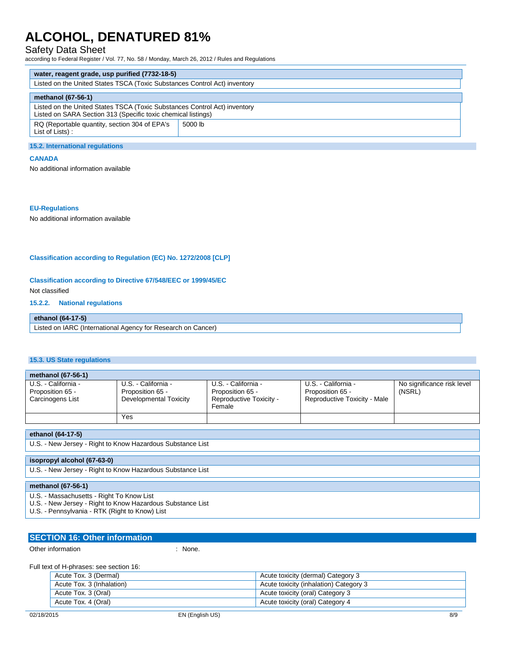## Safety Data Sheet

according to Federal Register / Vol. 77, No. 58 / Monday, March 26, 2012 / Rules and Regulations

| water, reagent grade, usp purified (7732-18-5)                                                                                             |         |
|--------------------------------------------------------------------------------------------------------------------------------------------|---------|
| Listed on the United States TSCA (Toxic Substances Control Act) inventory                                                                  |         |
| methanol (67-56-1)                                                                                                                         |         |
| Listed on the United States TSCA (Toxic Substances Control Act) inventory<br>Listed on SARA Section 313 (Specific toxic chemical listings) |         |
| RQ (Reportable quantity, section 304 of EPA's<br>List of Lists):                                                                           | 5000 lb |

#### **15.2. International regulations**

### **CANADA**

No additional information available

#### **EU-Regulations**

No additional information available

### **Classification according to Regulation (EC) No. 1272/2008 [CLP]**

**Classification according to Directive 67/548/EEC or 1999/45/EC**

Not classified

### **15.2.2. National regulations**

## **ethanol (64-17-5)**

Listed on IARC (International Agency for Research on Cancer)

### **15.3. US State regulations**

| methanol (67-56-1)                                          |                                                                   |                                                                              |                                                                         |                                      |
|-------------------------------------------------------------|-------------------------------------------------------------------|------------------------------------------------------------------------------|-------------------------------------------------------------------------|--------------------------------------|
| U.S. - California -<br>Proposition 65 -<br>Carcinogens List | U.S. - California -<br>Proposition 65 -<br>Developmental Toxicity | U.S. - California -<br>Proposition 65 -<br>Reproductive Toxicity -<br>Female | U.S. - California -<br>Proposition 65 -<br>Reproductive Toxicity - Male | No significance risk level<br>(NSRL) |
|                                                             | Yes                                                               |                                                                              |                                                                         |                                      |

## **ethanol (64-17-5)**

U.S. - New Jersey - Right to Know Hazardous Substance List

### **isopropyl alcohol (67-63-0)**

U.S. - New Jersey - Right to Know Hazardous Substance List

### **methanol (67-56-1)**

- U.S. Massachusetts Right To Know List
- U.S. New Jersey Right to Know Hazardous Substance List
- U.S. Pennsylvania RTK (Right to Know) List

# **SECTION 16: Other information**

Other information in the contract of the contract of the contract of the contract of the contract of the contract of the contract of the contract of the contract of the contract of the contract of the contract of the contr

Full text of H-phrases: see section 16:

| Acute Tox. 3 (Dermal)     | Acute toxicity (dermal) Category 3     |
|---------------------------|----------------------------------------|
| Acute Tox. 3 (Inhalation) | Acute toxicity (inhalation) Category 3 |
| Acute Tox. 3 (Oral)       | Acute toxicity (oral) Category 3       |
| Acute Tox. 4 (Oral)       | Acute toxicity (oral) Category 4       |